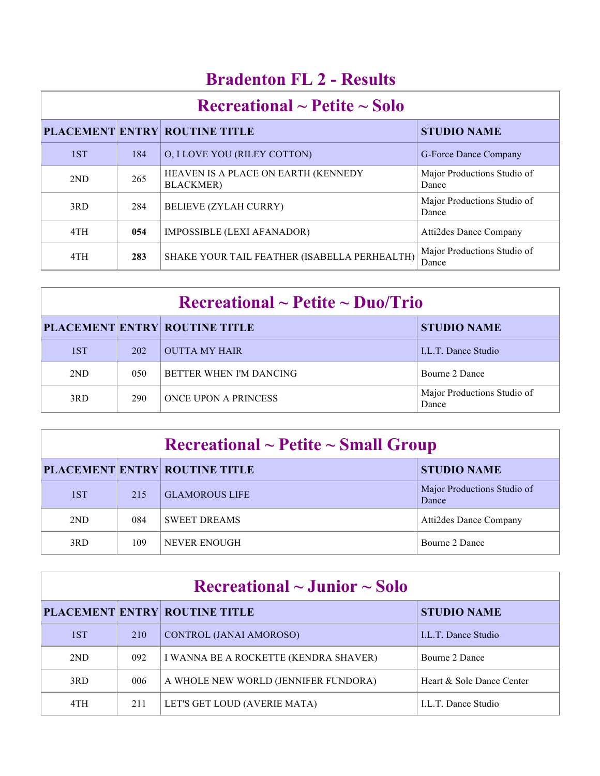## **Bradenton FL 2 - Results**

| $\textbf{Recreational} \sim \textbf{Petite} \sim \textbf{Solo}$ |     |                                                          |                                      |
|-----------------------------------------------------------------|-----|----------------------------------------------------------|--------------------------------------|
|                                                                 |     | <b>PLACEMENT ENTRY ROUTINE TITLE</b>                     | <b>STUDIO NAME</b>                   |
| 1ST                                                             | 184 | <b>O, I LOVE YOU (RILEY COTTON)</b>                      | G-Force Dance Company                |
| 2ND                                                             | 265 | HEAVEN IS A PLACE ON EARTH (KENNEDY<br><b>BLACKMER</b> ) | Major Productions Studio of<br>Dance |
| 3RD                                                             | 284 | <b>BELIEVE (ZYLAH CURRY)</b>                             | Major Productions Studio of<br>Dance |
| 4TH                                                             | 054 | IMPOSSIBLE (LEXI AFANADOR)                               | <b>Atti2des Dance Company</b>        |
| 4TH                                                             | 283 | SHAKE YOUR TAIL FEATHER (ISABELLA PERHEALTH)             | Major Productions Studio of<br>Dance |

| $\rm Recreational \sim Petite \sim Duo/Trio$ |     |                                      |                                      |
|----------------------------------------------|-----|--------------------------------------|--------------------------------------|
|                                              |     | <b>PLACEMENT ENTRY ROUTINE TITLE</b> | <b>STUDIO NAME</b>                   |
| 1ST                                          | 202 | <b>OUTTA MY HAIR</b>                 | LL.T. Dance Studio                   |
| 2ND                                          | 050 | BETTER WHEN I'M DANCING              | Bourne 2 Dance                       |
| 3RD                                          | 290 | <b>ONCE UPON A PRINCESS</b>          | Major Productions Studio of<br>Dance |

| $\rm Recreational \sim Petite \sim Small~Group$ |     |                                      |                                      |
|-------------------------------------------------|-----|--------------------------------------|--------------------------------------|
|                                                 |     | <b>PLACEMENT ENTRY ROUTINE TITLE</b> | <b>STUDIO NAME</b>                   |
| 1ST                                             | 215 | <b>GLAMOROUS LIFE</b>                | Major Productions Studio of<br>Dance |
| 2ND                                             | 084 | <b>SWEET DREAMS</b>                  | Atti2des Dance Company               |
| 3RD                                             | 109 | NEVER ENOUGH                         | Bourne 2 Dance                       |

| Recreational $\sim$ Junior $\sim$ Solo |     |                                       |                           |  |
|----------------------------------------|-----|---------------------------------------|---------------------------|--|
|                                        |     | <b>PLACEMENT ENTRY ROUTINE TITLE</b>  | <b>STUDIO NAME</b>        |  |
| 1ST                                    | 210 | <b>CONTROL (JANAI AMOROSO)</b>        | <b>LL.T.</b> Dance Studio |  |
| 2ND                                    | 092 | I WANNA BE A ROCKETTE (KENDRA SHAVER) | Bourne 2 Dance            |  |
| 3RD                                    | 006 | A WHOLE NEW WORLD (JENNIFER FUNDORA)  | Heart & Sole Dance Center |  |
| 4TH                                    | 211 | LET'S GET LOUD (AVERIE MATA)          | <b>LL.T.</b> Dance Studio |  |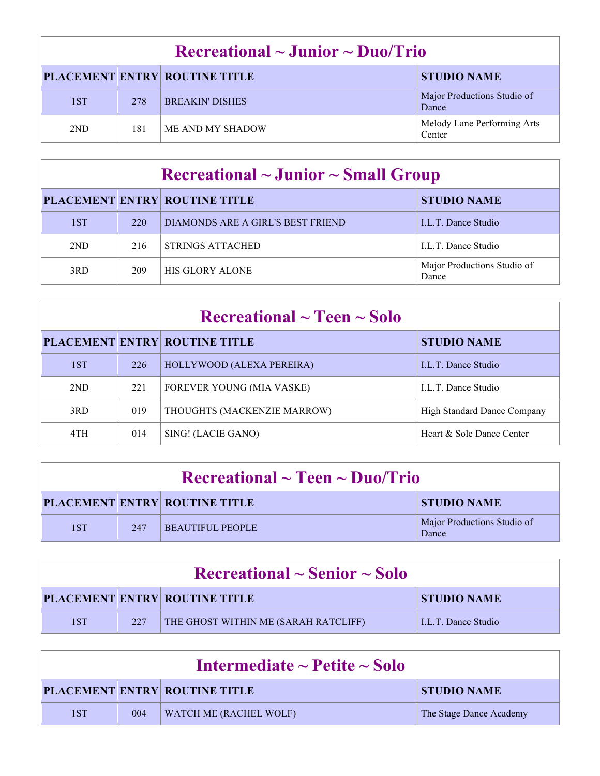| $\rm Recreational \sim J$ unior ~ Duo/Trio |     |                                      |                                       |
|--------------------------------------------|-----|--------------------------------------|---------------------------------------|
|                                            |     | <b>PLACEMENT ENTRY ROUTINE TITLE</b> | <b>STUDIO NAME</b>                    |
| 1ST                                        | 278 | <b>BREAKIN' DISHES</b>               | Major Productions Studio of<br>Dance  |
| 2ND                                        | 181 | ME AND MY SHADOW                     | Melody Lane Performing Arts<br>Center |

| $\rm Recreational \sim Junior \sim Small~Group$ |     |                                      |                                      |
|-------------------------------------------------|-----|--------------------------------------|--------------------------------------|
|                                                 |     | <b>PLACEMENT ENTRY ROUTINE TITLE</b> | <b>STUDIO NAME</b>                   |
| 1ST                                             | 220 | DIAMONDS ARE A GIRL'S BEST FRIEND    | <b>LL.T.</b> Dance Studio            |
| 2ND                                             | 216 | <b>STRINGS ATTACHED</b>              | <b>LL.T.</b> Dance Studio            |
| 3RD                                             | 209 | <b>HIS GLORY ALONE</b>               | Major Productions Studio of<br>Dance |

| $\rm Recreational \sim Teen \sim Solo$ |     |                                      |                                    |
|----------------------------------------|-----|--------------------------------------|------------------------------------|
|                                        |     | <b>PLACEMENT ENTRY ROUTINE TITLE</b> | <b>STUDIO NAME</b>                 |
| 1ST                                    | 226 | HOLLYWOOD (ALEXA PEREIRA)            | <b>LL.T.</b> Dance Studio          |
| 2ND                                    | 221 | <b>FOREVER YOUNG (MIA VASKE)</b>     | LL.T. Dance Studio                 |
| 3RD                                    | 019 | THOUGHTS (MACKENZIE MARROW)          | <b>High Standard Dance Company</b> |
| 4TH                                    | 014 | SING! (LACIE GANO)                   | Heart & Sole Dance Center          |

| $\rm Recreational \sim Teen \sim Duo/Trio$ |     |                                      |                                      |
|--------------------------------------------|-----|--------------------------------------|--------------------------------------|
|                                            |     | <b>PLACEMENT ENTRY ROUTINE TITLE</b> | <b>STUDIO NAME</b>                   |
| 1ST                                        | 247 | BEAUTIFUL PEOPLE                     | Major Productions Studio of<br>Dance |

| $\rm Recreational \sim Senior \sim Solo$ |     |                                      |                    |
|------------------------------------------|-----|--------------------------------------|--------------------|
|                                          |     | <b>PLACEMENT ENTRY ROUTINE TITLE</b> | <b>STUDIO NAME</b> |
| 1ST                                      | 227 | THE GHOST WITHIN ME (SARAH RATCLIFF) | LL.T. Dance Studio |

| Intermediate $\sim$ Petite $\sim$ Solo |     |                                      |                         |
|----------------------------------------|-----|--------------------------------------|-------------------------|
|                                        |     | <b>PLACEMENT ENTRY ROUTINE TITLE</b> | <b>STUDIO NAME</b>      |
| 1ST                                    | 004 | <b>WATCH ME (RACHEL WOLF)</b>        | The Stage Dance Academy |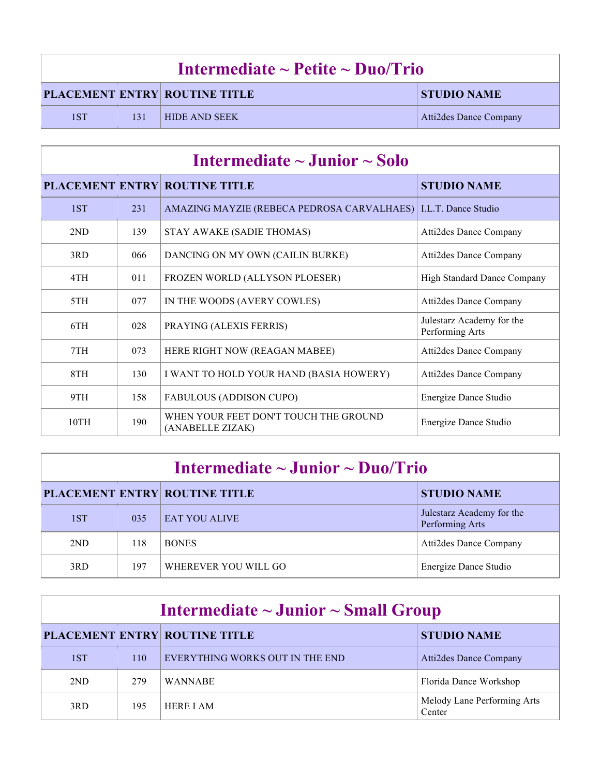| Intermediate $\sim$ Petite $\sim$ Duo/Trio |     |                                      |                               |
|--------------------------------------------|-----|--------------------------------------|-------------------------------|
|                                            |     | <b>PLACEMENT ENTRY ROUTINE TITLE</b> | <b>STUDIO NAME</b>            |
| 1ST                                        | 131 | <b>HIDE AND SEEK</b>                 | <b>Atti2des Dance Company</b> |

| Intermediate $\sim$ Junior $\sim$ Solo |     |                                                                  |                                              |
|----------------------------------------|-----|------------------------------------------------------------------|----------------------------------------------|
|                                        |     | <b>PLACEMENT ENTRY ROUTINE TITLE</b>                             | <b>STUDIO NAME</b>                           |
| 1ST                                    | 231 | AMAZING MAYZIE (REBECA PEDROSA CARVALHAES)   I.L.T. Dance Studio |                                              |
| 2ND                                    | 139 | STAY AWAKE (SADIE THOMAS)                                        | Atti2des Dance Company                       |
| 3RD                                    | 066 | DANCING ON MY OWN (CAILIN BURKE)                                 | Atti2des Dance Company                       |
| 4TH                                    | 011 | FROZEN WORLD (ALLYSON PLOESER)                                   | <b>High Standard Dance Company</b>           |
| 5TH                                    | 077 | IN THE WOODS (AVERY COWLES)                                      | <b>Atti2des Dance Company</b>                |
| 6TH                                    | 028 | PRAYING (ALEXIS FERRIS)                                          | Julestarz Academy for the<br>Performing Arts |
| 7TH                                    | 073 | HERE RIGHT NOW (REAGAN MABEE)                                    | <b>Atti2des Dance Company</b>                |
| 8TH                                    | 130 | I WANT TO HOLD YOUR HAND (BASIA HOWERY)                          | Atti2des Dance Company                       |
| 9TH                                    | 158 | <b>FABULOUS (ADDISON CUPO)</b>                                   | Energize Dance Studio                        |
| 10TH                                   | 190 | WHEN YOUR FEET DON'T TOUCH THE GROUND<br>(ANABELLE ZIZAK)        | Energize Dance Studio                        |

| Intermediate $\sim$ Junior $\sim$ Duo/Trio |     |                                      |                                              |  |
|--------------------------------------------|-----|--------------------------------------|----------------------------------------------|--|
|                                            |     | <b>PLACEMENT ENTRY ROUTINE TITLE</b> | <b>STUDIO NAME</b>                           |  |
| 1ST                                        | 035 | <b>EAT YOU ALIVE</b>                 | Julestarz Academy for the<br>Performing Arts |  |
| 2ND                                        | 118 | <b>BONES</b>                         | Atti2des Dance Company                       |  |
| 3RD                                        | 197 | WHEREVER YOU WILL GO                 | Energize Dance Studio                        |  |

| Intermediate $\sim$ Junior $\sim$ Small Group |     |                                      |                                       |  |
|-----------------------------------------------|-----|--------------------------------------|---------------------------------------|--|
|                                               |     | <b>PLACEMENT ENTRY ROUTINE TITLE</b> | <b>STUDIO NAME</b>                    |  |
| 1ST                                           | 110 | EVERYTHING WORKS OUT IN THE END      | Atti2des Dance Company                |  |
| 2ND                                           | 279 | <b>WANNABE</b>                       | Florida Dance Workshop                |  |
| 3RD                                           | 195 | <b>HERE I AM</b>                     | Melody Lane Performing Arts<br>Center |  |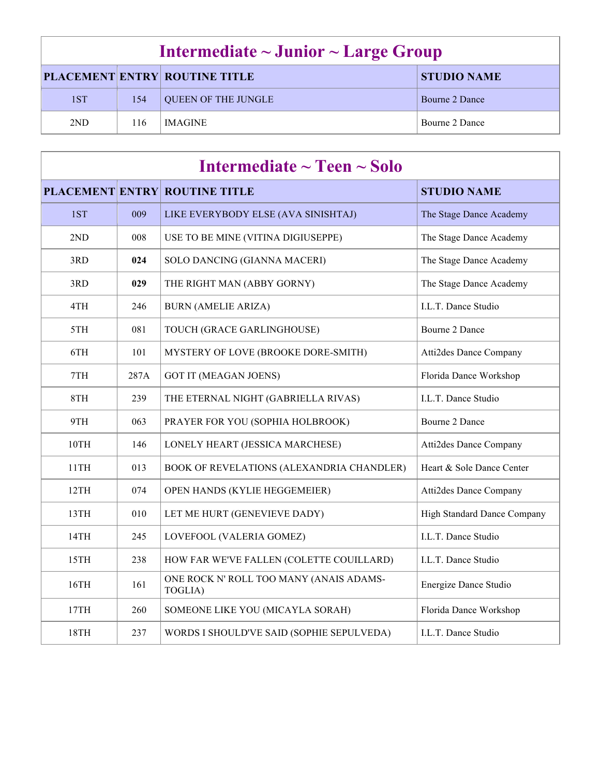| Intermediate $\sim$ Junior $\sim$ Large Group              |     |                            |                |
|------------------------------------------------------------|-----|----------------------------|----------------|
| <b>PLACEMENT ENTRY ROUTINE TITLE</b><br><b>STUDIO NAME</b> |     |                            |                |
| 1ST                                                        | 154 | <b>QUEEN OF THE JUNGLE</b> | Bourne 2 Dance |
| 2 <sub>ND</sub>                                            | 116 | <b>IMAGINE</b>             | Bourne 2 Dance |

| Intermediate $\sim$ Teen $\sim$ Solo |      |                                                    |                                    |  |
|--------------------------------------|------|----------------------------------------------------|------------------------------------|--|
|                                      |      | <b>PLACEMENT ENTRY ROUTINE TITLE</b>               | <b>STUDIO NAME</b>                 |  |
| 1ST                                  | 009  | LIKE EVERYBODY ELSE (AVA SINISHTAJ)                | The Stage Dance Academy            |  |
| 2ND                                  | 008  | USE TO BE MINE (VITINA DIGIUSEPPE)                 | The Stage Dance Academy            |  |
| 3RD                                  | 024  | SOLO DANCING (GIANNA MACERI)                       | The Stage Dance Academy            |  |
| 3RD                                  | 029  | THE RIGHT MAN (ABBY GORNY)                         | The Stage Dance Academy            |  |
| 4TH                                  | 246  | <b>BURN (AMELIE ARIZA)</b>                         | I.L.T. Dance Studio                |  |
| 5TH                                  | 081  | TOUCH (GRACE GARLINGHOUSE)                         | Bourne 2 Dance                     |  |
| 6TH                                  | 101  | MYSTERY OF LOVE (BROOKE DORE-SMITH)                | <b>Atti2des Dance Company</b>      |  |
| 7TH                                  | 287A | <b>GOT IT (MEAGAN JOENS)</b>                       | Florida Dance Workshop             |  |
| 8TH                                  | 239  | THE ETERNAL NIGHT (GABRIELLA RIVAS)                | I.L.T. Dance Studio                |  |
| 9TH                                  | 063  | PRAYER FOR YOU (SOPHIA HOLBROOK)                   | Bourne 2 Dance                     |  |
| 10TH                                 | 146  | LONELY HEART (JESSICA MARCHESE)                    | <b>Atti2des Dance Company</b>      |  |
| 11TH                                 | 013  | BOOK OF REVELATIONS (ALEXANDRIA CHANDLER)          | Heart & Sole Dance Center          |  |
| 12TH                                 | 074  | OPEN HANDS (KYLIE HEGGEMEIER)                      | <b>Atti2des Dance Company</b>      |  |
| 13TH                                 | 010  | LET ME HURT (GENEVIEVE DADY)                       | <b>High Standard Dance Company</b> |  |
| 14TH                                 | 245  | LOVEFOOL (VALERIA GOMEZ)                           | I.L.T. Dance Studio                |  |
| 15TH                                 | 238  | HOW FAR WE'VE FALLEN (COLETTE COUILLARD)           | I.L.T. Dance Studio                |  |
| 16TH                                 | 161  | ONE ROCK N' ROLL TOO MANY (ANAIS ADAMS-<br>TOGLIA) | Energize Dance Studio              |  |
| 17TH                                 | 260  | SOMEONE LIKE YOU (MICAYLA SORAH)                   | Florida Dance Workshop             |  |
| 18TH                                 | 237  | WORDS I SHOULD'VE SAID (SOPHIE SEPULVEDA)          | I.L.T. Dance Studio                |  |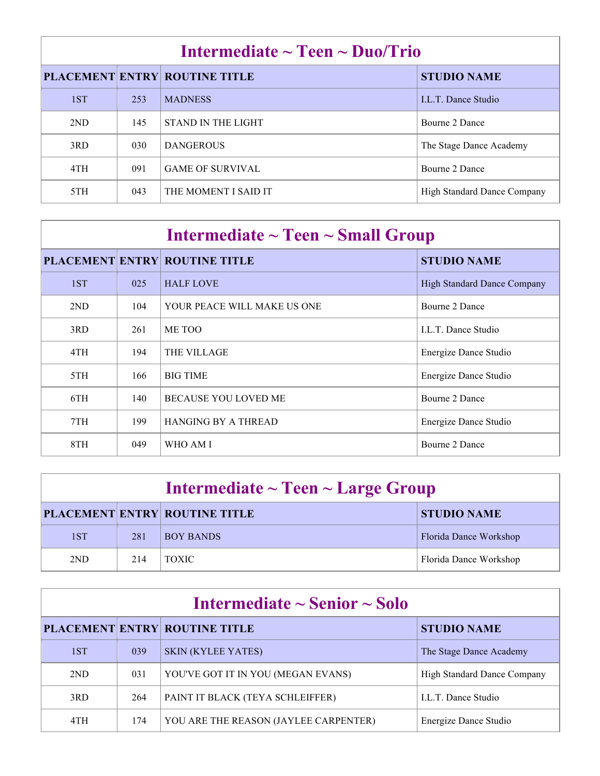| Intermediate $\sim$ Teen $\sim$ Duo/Trio |     |                                      |                             |  |
|------------------------------------------|-----|--------------------------------------|-----------------------------|--|
|                                          |     | <b>PLACEMENT ENTRY ROUTINE TITLE</b> | <b>STUDIO NAME</b>          |  |
| 1ST                                      | 253 | <b>MADNESS</b>                       | <b>LL.T.</b> Dance Studio   |  |
| 2ND                                      | 145 | STAND IN THE LIGHT                   | Bourne 2 Dance              |  |
| 3RD                                      | 030 | <b>DANGEROUS</b>                     | The Stage Dance Academy     |  |
| 4TH                                      | 091 | <b>GAME OF SURVIVAL</b>              | Bourne 2 Dance              |  |
| 5TH                                      | 043 | THE MOMENT I SAID IT                 | High Standard Dance Company |  |

| Intermediate $\sim$ Teen $\sim$ Small Group |     |                                      |                                    |  |
|---------------------------------------------|-----|--------------------------------------|------------------------------------|--|
|                                             |     | <b>PLACEMENT ENTRY ROUTINE TITLE</b> | <b>STUDIO NAME</b>                 |  |
| 1ST                                         | 025 | <b>HALF LOVE</b>                     | <b>High Standard Dance Company</b> |  |
| 2ND                                         | 104 | YOUR PEACE WILL MAKE US ONE          | Bourne 2 Dance                     |  |
| 3RD                                         | 261 | ME TOO                               | <b>LL.T.</b> Dance Studio          |  |
| 4TH                                         | 194 | <b>THE VILLAGE</b>                   | Energize Dance Studio              |  |
| 5TH                                         | 166 | <b>BIG TIME</b>                      | Energize Dance Studio              |  |
| 6TH                                         | 140 | <b>BECAUSE YOU LOVED ME</b>          | Bourne 2 Dance                     |  |
| 7TH                                         | 199 | <b>HANGING BY A THREAD</b>           | Energize Dance Studio              |  |
| 8TH                                         | 049 | WHO AM I                             | Bourne 2 Dance                     |  |

| Intermediate $\sim$ Teen $\sim$ Large Group |     |                                      |                        |  |
|---------------------------------------------|-----|--------------------------------------|------------------------|--|
|                                             |     | <b>PLACEMENT ENTRY ROUTINE TITLE</b> | <b>STUDIO NAME</b>     |  |
| 1ST                                         | 281 | <b>BOY BANDS</b>                     | Florida Dance Workshop |  |
| 2ND                                         | 214 | <b>TOXIC</b>                         | Florida Dance Workshop |  |

| Intermediate $\sim$ Senior $\sim$ Solo |     |                                       |                                    |  |
|----------------------------------------|-----|---------------------------------------|------------------------------------|--|
|                                        |     | <b>PLACEMENT ENTRY ROUTINE TITLE</b>  | <b>STUDIO NAME</b>                 |  |
| 1ST                                    | 039 | <b>SKIN (KYLEE YATES)</b>             | The Stage Dance Academy            |  |
| 2ND                                    | 031 | YOU'VE GOT IT IN YOU (MEGAN EVANS)    | <b>High Standard Dance Company</b> |  |
| 3RD                                    | 264 | PAINT IT BLACK (TEYA SCHLEIFFER)      | <b>LL.T.</b> Dance Studio          |  |
| 4TH                                    | 174 | YOU ARE THE REASON (JAYLEE CARPENTER) | Energize Dance Studio              |  |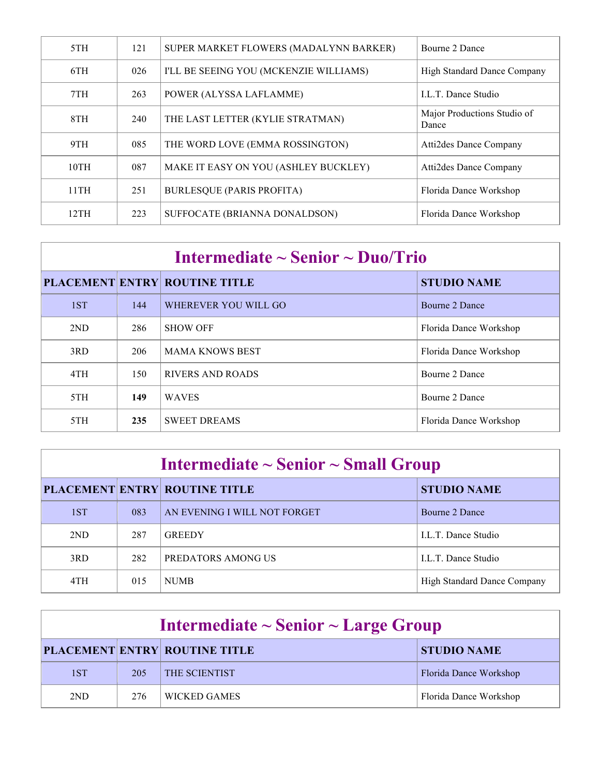| 5TH  | 121 | SUPER MARKET FLOWERS (MADALYNN BARKER) | Bourne 2 Dance                       |
|------|-----|----------------------------------------|--------------------------------------|
| 6TH  | 026 | I'LL BE SEEING YOU (MCKENZIE WILLIAMS) | <b>High Standard Dance Company</b>   |
| 7TH  | 263 | POWER (ALYSSA LAFLAMME)                | <b>LL.T.</b> Dance Studio            |
| 8TH  | 240 | THE LAST LETTER (KYLIE STRATMAN)       | Major Productions Studio of<br>Dance |
| 9TH  | 085 | THE WORD LOVE (EMMA ROSSINGTON)        | <b>Atti2des Dance Company</b>        |
| 10TH | 087 | MAKE IT EASY ON YOU (ASHLEY BUCKLEY)   | <b>Atti2des Dance Company</b>        |
| 11TH | 251 | <b>BURLESQUE (PARIS PROFITA)</b>       | Florida Dance Workshop               |
| 12TH | 223 | SUFFOCATE (BRIANNA DONALDSON)          | Florida Dance Workshop               |

| Intermediate $\sim$ Senior $\sim$ Duo/Trio |     |                                      |                        |  |
|--------------------------------------------|-----|--------------------------------------|------------------------|--|
|                                            |     | <b>PLACEMENT ENTRY ROUTINE TITLE</b> | <b>STUDIO NAME</b>     |  |
| 1ST                                        | 144 | WHEREVER YOU WILL GO                 | Bourne 2 Dance         |  |
| 2ND                                        | 286 | <b>SHOW OFF</b>                      | Florida Dance Workshop |  |
| 3RD                                        | 206 | <b>MAMA KNOWS BEST</b>               | Florida Dance Workshop |  |
| 4TH                                        | 150 | RIVERS AND ROADS                     | Bourne 2 Dance         |  |
| 5TH                                        | 149 | <b>WAVES</b>                         | Bourne 2 Dance         |  |
| 5TH                                        | 235 | <b>SWEET DREAMS</b>                  | Florida Dance Workshop |  |

| Intermediate $\sim$ Senior $\sim$ Small Group |
|-----------------------------------------------|
|-----------------------------------------------|

|     |     | <b>PLACEMENT ENTRY ROUTINE TITLE</b> | <b>STUDIO NAME</b>          |
|-----|-----|--------------------------------------|-----------------------------|
| 1ST | 083 | AN EVENING I WILL NOT FORGET         | Bourne 2 Dance              |
| 2ND | 287 | <b>GREEDY</b>                        | LL.T. Dance Studio          |
| 3RD | 282 | PREDATORS AMONG US                   | LL.T. Dance Studio          |
| 4TH | 015 | <b>NUMB</b>                          | High Standard Dance Company |

| Intermediate $\sim$ Senior $\sim$ Large Group |     |                                      |                        |
|-----------------------------------------------|-----|--------------------------------------|------------------------|
|                                               |     | <b>PLACEMENT ENTRY ROUTINE TITLE</b> | <b>STUDIO NAME</b>     |
| 1ST                                           | 205 | <b>THE SCIENTIST</b>                 | Florida Dance Workshop |
| 2ND                                           | 276 | WICKED GAMES                         | Florida Dance Workshop |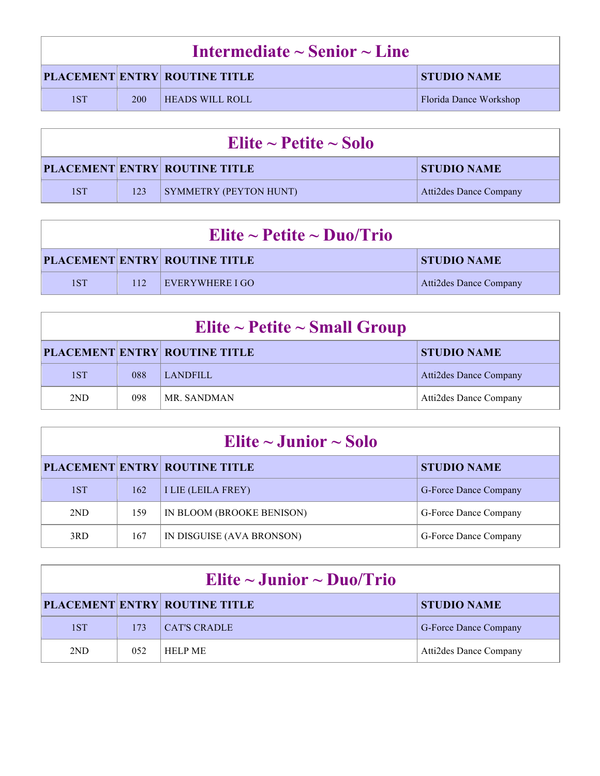| Intermediate $\sim$ Senior $\sim$ Line |     |                                      |                        |  |
|----------------------------------------|-----|--------------------------------------|------------------------|--|
|                                        |     | <b>PLACEMENT ENTRY ROUTINE TITLE</b> | <b>STUDIO NAME</b>     |  |
| 1ST                                    | 200 | <b>HEADS WILL ROLL</b>               | Florida Dance Workshop |  |

| Elite $\sim$ Petite $\sim$ Solo |     |                                      |                               |
|---------------------------------|-----|--------------------------------------|-------------------------------|
|                                 |     | <b>PLACEMENT ENTRY ROUTINE TITLE</b> | <b>STUDIO NAME</b>            |
| 1ST                             | 123 | SYMMETRY (PEYTON HUNT)               | <b>Atti2des Dance Company</b> |

| Elite ~ Petite ~ Duo/Trio |     |                                      |                        |
|---------------------------|-----|--------------------------------------|------------------------|
|                           |     | <b>PLACEMENT ENTRY ROUTINE TITLE</b> | <b>STUDIO NAME</b>     |
| 1ST                       | 112 | $\Box$ EVERYWHERE I GO               | Atti2des Dance Company |

| Elite ~ Petite ~ Small Group |     |                                      |                        |
|------------------------------|-----|--------------------------------------|------------------------|
|                              |     | <b>PLACEMENT ENTRY ROUTINE TITLE</b> | <b>STUDIO NAME</b>     |
| 1ST                          | 088 | <b>LANDFILL</b>                      | Atti2des Dance Company |
| 2ND                          | 098 | MR. SANDMAN                          | Atti2des Dance Company |

| Elite $\sim$ Junior $\sim$ Solo |     |                                      |                       |
|---------------------------------|-----|--------------------------------------|-----------------------|
|                                 |     | <b>PLACEMENT ENTRY ROUTINE TITLE</b> | <b>STUDIO NAME</b>    |
| 1ST                             | 162 | <b>I LIE (LEILA FREY)</b>            | G-Force Dance Company |
| 2ND                             | 159 | IN BLOOM (BROOKE BENISON)            | G-Force Dance Company |
| 3RD                             | 167 | IN DISGUISE (AVA BRONSON)            | G-Force Dance Company |

| Elite $\sim$ Junior $\sim$ Duo/Trio |      |                                      |                              |
|-------------------------------------|------|--------------------------------------|------------------------------|
|                                     |      | <b>PLACEMENT ENTRY ROUTINE TITLE</b> | <b>STUDIO NAME</b>           |
| 1ST                                 | 173  | CAT'S CRADLE                         | <b>G-Force Dance Company</b> |
| 2ND                                 | 0.52 | <b>HELP ME</b>                       | Atti2des Dance Company       |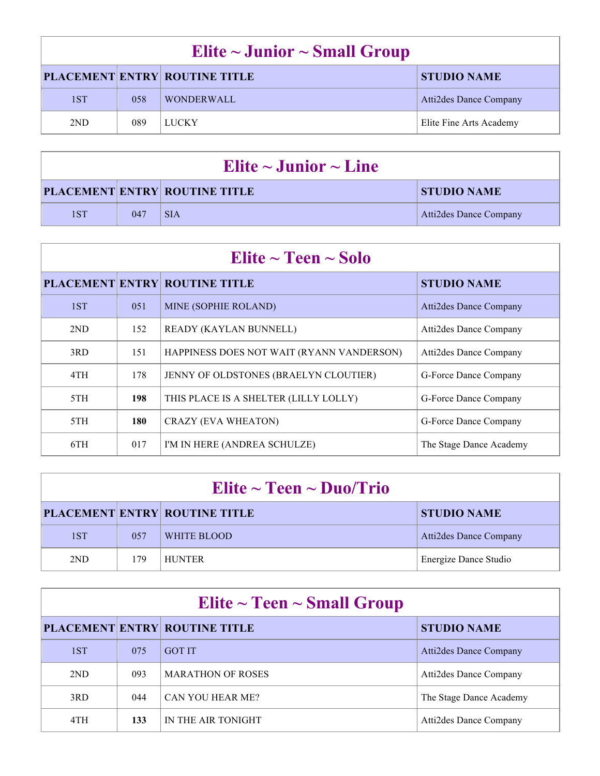| Elite $\sim$ Junior $\sim$ Small Group |     |                                      |                         |
|----------------------------------------|-----|--------------------------------------|-------------------------|
|                                        |     | <b>PLACEMENT ENTRY ROUTINE TITLE</b> | <b>STUDIO NAME</b>      |
| 1ST                                    | 058 | <b>WONDERWALL</b>                    | Atti2des Dance Company  |
| 2ND                                    | 089 | LUCKY                                | Elite Fine Arts Academy |

| Elite $\sim$ Junior $\sim$ Line |     |                                      |                               |
|---------------------------------|-----|--------------------------------------|-------------------------------|
|                                 |     | <b>PLACEMENT ENTRY ROUTINE TITLE</b> | <b>STUDIO NAME</b>            |
| 1ST                             | 047 | <b>SIA</b>                           | <b>Atti2des Dance Company</b> |

| Elite $\sim$ Teen $\sim$ Solo |     |                                           |                               |
|-------------------------------|-----|-------------------------------------------|-------------------------------|
|                               |     | <b>PLACEMENT ENTRY ROUTINE TITLE</b>      | <b>STUDIO NAME</b>            |
| 1ST                           | 051 | MINE (SOPHIE ROLAND)                      | Atti2des Dance Company        |
| 2ND                           | 152 | <b>READY (KAYLAN BUNNELL)</b>             | <b>Atti2des Dance Company</b> |
| 3RD                           | 151 | HAPPINESS DOES NOT WAIT (RYANN VANDERSON) | Atti2des Dance Company        |
| 4TH                           | 178 | JENNY OF OLDSTONES (BRAELYN CLOUTIER)     | G-Force Dance Company         |
| 5TH                           | 198 | THIS PLACE IS A SHELTER (LILLY LOLLY)     | G-Force Dance Company         |
| 5TH                           | 180 | CRAZY (EVA WHEATON)                       | G-Force Dance Company         |
| 6TH                           | 017 | I'M IN HERE (ANDREA SCHULZE)              | The Stage Dance Academy       |

| Elite $\sim$ Teen $\sim$ Duo/Trio |      |                                      |                        |
|-----------------------------------|------|--------------------------------------|------------------------|
|                                   |      | <b>PLACEMENT ENTRY ROUTINE TITLE</b> | <b>STUDIO NAME</b>     |
| 1ST                               | 0.57 | WHITE BLOOD                          | Atti2des Dance Company |
| 2ND                               | 179  | <b>HUNTER</b>                        | Energize Dance Studio  |

| Elite $\sim$ Teen $\sim$ Small Group |     |                                      |                               |
|--------------------------------------|-----|--------------------------------------|-------------------------------|
|                                      |     | <b>PLACEMENT ENTRY ROUTINE TITLE</b> | <b>STUDIO NAME</b>            |
| 1ST                                  | 075 | <b>GOT IT</b>                        | <b>Atti2des Dance Company</b> |
| 2ND                                  | 093 | <b>MARATHON OF ROSES</b>             | <b>Atti2des Dance Company</b> |
| 3RD                                  | 044 | <b>CAN YOU HEAR ME?</b>              | The Stage Dance Academy       |
| 4TH                                  | 133 | IN THE AIR TONIGHT                   | Atti2des Dance Company        |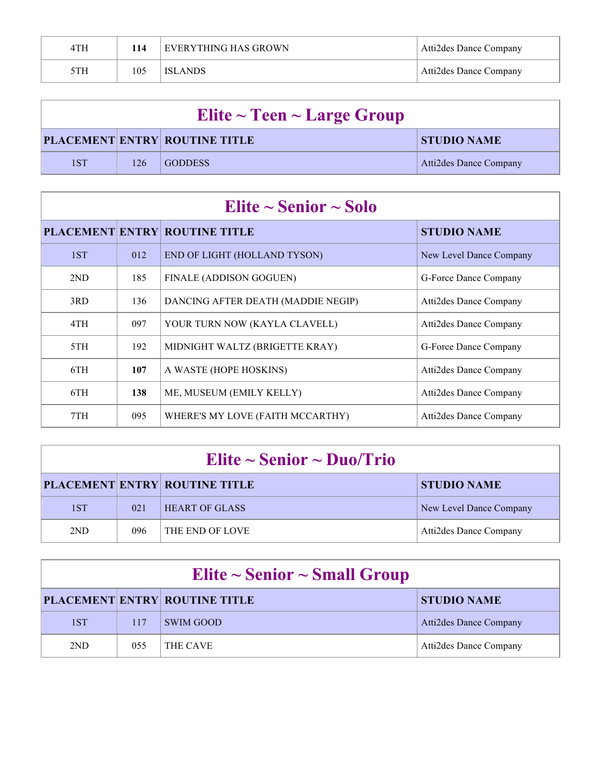| 4TH | 14  | EVERYTHING HAS GROWN | Atti2des Dance Company |
|-----|-----|----------------------|------------------------|
| 5TH | 105 | <b>ISLANDS</b>       | Atti2des Dance Company |

| Elite $\sim$ Teen $\sim$ Large Group |     |                                      |                        |
|--------------------------------------|-----|--------------------------------------|------------------------|
|                                      |     | <b>PLACEMENT ENTRY ROUTINE TITLE</b> | <b>STUDIO NAME</b>     |
| 1ST                                  | 126 | <b>GODDESS</b>                       | Atti2des Dance Company |

| Elite $\sim$ Senior $\sim$ Solo |     |                                      |                               |
|---------------------------------|-----|--------------------------------------|-------------------------------|
|                                 |     | <b>PLACEMENT ENTRY ROUTINE TITLE</b> | <b>STUDIO NAME</b>            |
| 1ST                             | 012 | END OF LIGHT (HOLLAND TYSON)         | New Level Dance Company       |
| 2ND                             | 185 | FINALE (ADDISON GOGUEN)              | G-Force Dance Company         |
| 3RD                             | 136 | DANCING AFTER DEATH (MADDIE NEGIP)   | Atti2des Dance Company        |
| 4TH                             | 097 | YOUR TURN NOW (KAYLA CLAVELL)        | Atti2des Dance Company        |
| 5TH                             | 192 | MIDNIGHT WALTZ (BRIGETTE KRAY)       | G-Force Dance Company         |
| 6TH                             | 107 | A WASTE (HOPE HOSKINS)               | Atti2des Dance Company        |
| 6TH                             | 138 | ME, MUSEUM (EMILY KELLY)             | Atti2des Dance Company        |
| 7TH                             | 095 | WHERE'S MY LOVE (FAITH MCCARTHY)     | <b>Atti2des Dance Company</b> |

| Elite $\sim$ Senior $\sim$ Duo/Trio |     |                                      |                         |
|-------------------------------------|-----|--------------------------------------|-------------------------|
|                                     |     | <b>PLACEMENT ENTRY ROUTINE TITLE</b> | <b>STUDIO NAME</b>      |
| 1ST                                 | 021 | <b>HEART OF GLASS</b>                | New Level Dance Company |
| 2ND                                 | 096 | <b>THE END OF LOVE</b>               | Atti2des Dance Company  |

| Elite $\sim$ Senior $\sim$ Small Group |     |                                      |                               |
|----------------------------------------|-----|--------------------------------------|-------------------------------|
|                                        |     | <b>PLACEMENT ENTRY ROUTINE TITLE</b> | <b>STUDIO NAME</b>            |
| 1ST                                    | 117 | <b>SWIM GOOD</b>                     | <b>Atti2des Dance Company</b> |
| 2ND                                    | 055 | THE CAVE                             | Atti2des Dance Company        |